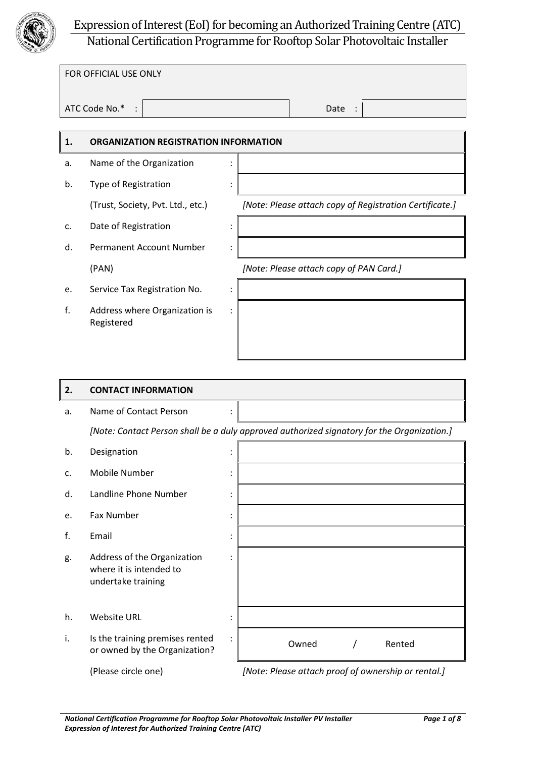

# Expression of Interest (EoI) for becoming an Authorized Training Centre (ATC) National Certification Programme for Rooftop Solar Photovoltaic Installer

| FOR OFFICIAL USE ONLY |      |  |
|-----------------------|------|--|
|                       |      |  |
|                       |      |  |
|                       |      |  |
|                       |      |  |
| ATC Code No.* :       | Date |  |
|                       |      |  |
|                       |      |  |

#### **1. ORGANIZATION REGISTRATION INFORMATION**

- a. Name of the Organization :
- b. Type of Registration :
	-
- c. Date of Registration :
- d. Permanent Account Number :
- e. Service Tax Registration No. :
- f. Address where Organization is Registered

(Trust, Society, Pvt. Ltd., etc.) *[Note: Please attach copy of Registration Certificate.]*

(PAN) *[Note: Please attach copy of PAN Card.]*

# **2. CONTACT INFORMATION** a. Name of Contact Person : *[Note: Contact Person shall be a duly approved authorized signatory for the Organization.]* b. Designation : the state of the state of the state of the state of the state of the state of the state of the state of the state of the state of the state of the state of the state of the state of the state of the state

:

:

:

- 
- c. Mobile Number :
- d. Landline Phone Number :
- e. Fax Number
- f. Email :
- g. Address of the Organization where it is intended to undertake training
- h. Website URL :
- i. Is the training premises rented or owned by the Organization?

(Please circle one) *[Note: Please attach proof of ownership or rental.]*

Owned / Rented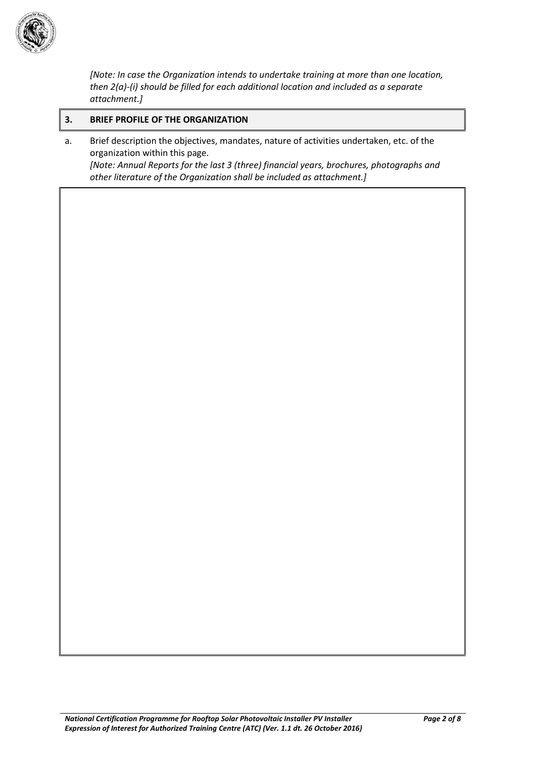

*[Note: In case the Organization intends to undertake training at more than one location, then 2(a)-(i) should be filled for each additional location and included as a separate attachment.]*

#### **3. BRIEF PROFILE OF THE ORGANIZATION**

a. Brief description the objectives, mandates, nature of activities undertaken, etc. of the organization within this page. *[Note: Annual Reports for the last 3 (three) financial years, brochures, photographs and other literature of the Organization shall be included as attachment.]*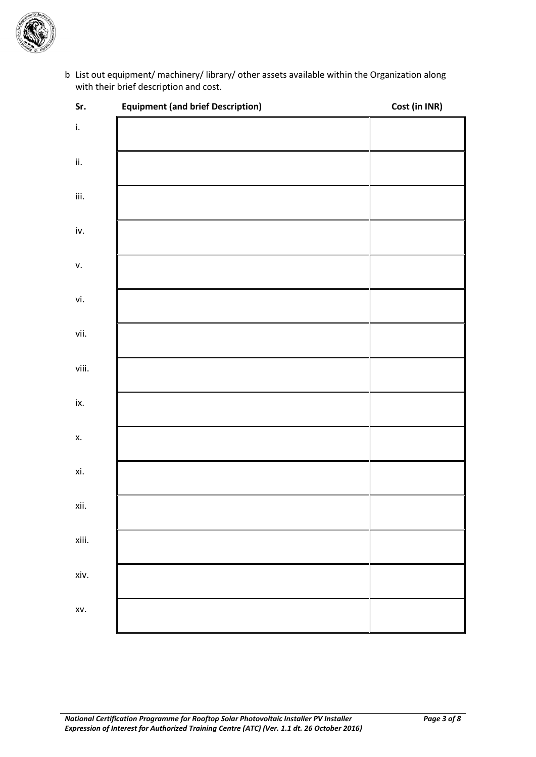

b. List out equipment/ machinery/ library/ other assets available within the Organization along with their brief description and cost.

| $\mathsf{iii}.$<br>v.<br>vi.<br>vii.<br>viii.<br>Х.<br>xi.<br>xiii.<br>xiv.<br>XV. | Sr.           | <b>Equipment (and brief Description)</b> | Cost (in INR) |
|------------------------------------------------------------------------------------|---------------|------------------------------------------|---------------|
|                                                                                    | $\mathsf{i}.$ |                                          |               |
|                                                                                    | ii.           |                                          |               |
|                                                                                    |               |                                          |               |
|                                                                                    | iv.           |                                          |               |
|                                                                                    |               |                                          |               |
|                                                                                    |               |                                          |               |
|                                                                                    |               |                                          |               |
|                                                                                    |               |                                          |               |
|                                                                                    | ix.           |                                          |               |
|                                                                                    |               |                                          |               |
|                                                                                    |               |                                          |               |
|                                                                                    | xii.          |                                          |               |
|                                                                                    |               |                                          |               |
|                                                                                    |               |                                          |               |
|                                                                                    |               |                                          |               |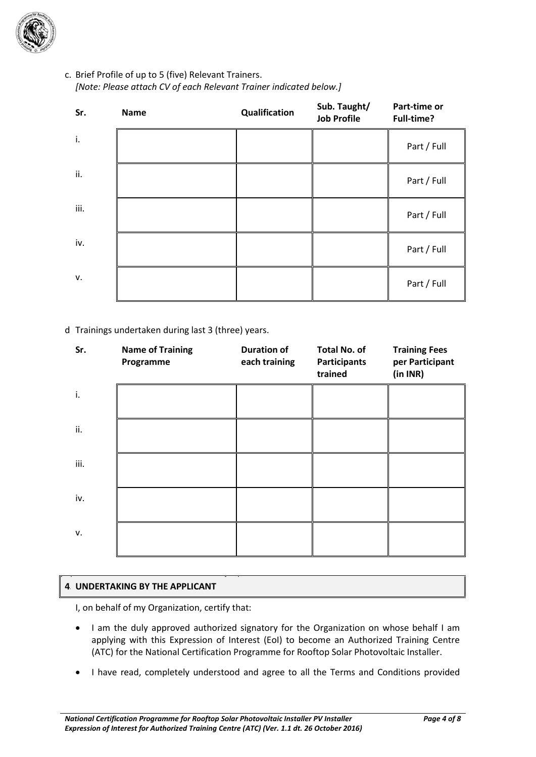

c. Brief Profile of up to 5 (five) Relevant Trainers. *[Note: Please attach CV of each Relevant Trainer indicated below.]*

| Sr.  | <b>Name</b> | Qualification | Sub. Taught/<br><b>Job Profile</b> | Part-time or<br>Full-time? |
|------|-------------|---------------|------------------------------------|----------------------------|
| i.   |             |               |                                    | Part / Full                |
| ii.  |             |               |                                    | Part / Full                |
| iii. |             |               |                                    | Part / Full                |
| iv.  |             |               |                                    | Part / Full                |
| v.   |             |               |                                    | Part / Full                |

#### d. Trainings undertaken during last 3 (three) years.

| Sr.  | <b>Name of Training</b><br>Programme | <b>Duration of</b><br>each training | <b>Total No. of</b><br><b>Participants</b><br>trained | <b>Training Fees</b><br>per Participant<br>(in INR) |
|------|--------------------------------------|-------------------------------------|-------------------------------------------------------|-----------------------------------------------------|
| i.   |                                      |                                     |                                                       |                                                     |
| ii.  |                                      |                                     |                                                       |                                                     |
| iii. |                                      |                                     |                                                       |                                                     |
| iv.  |                                      |                                     |                                                       |                                                     |
| v.   |                                      |                                     |                                                       |                                                     |

#### **4. UNDERTAKING BY THE APPLICANT**

I, on behalf of my Organization, certify that:

- I am the duly approved authorized signatory for the Organization on whose behalf I am applying with this Expression of Interest (EoI) to become an Authorized Training Centre (ATC) for the National Certification Programme for Rooftop Solar Photovoltaic Installer.
- I have read, completely understood and agree to all the Terms and Conditions provided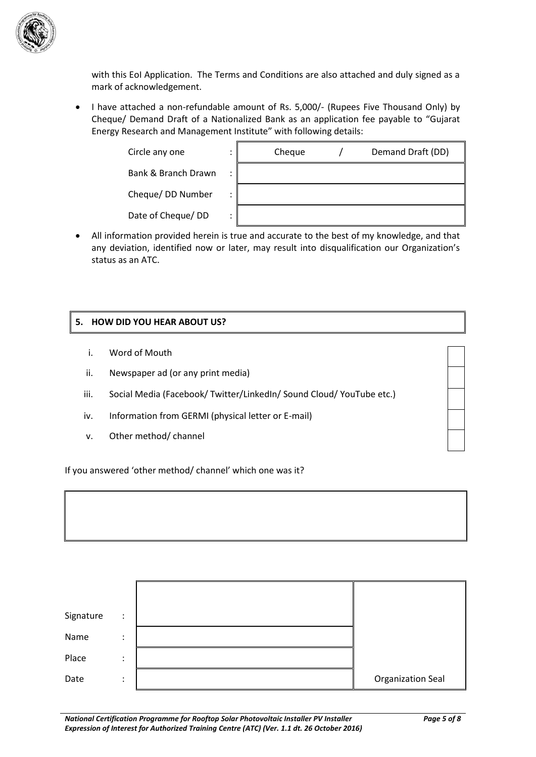

with this EoI Application. The Terms and Conditions are also attached and duly signed as a mark of acknowledgement.

 I have attached a non-refundable amount of Rs. 5,000/- (Rupees Five Thousand Only) by Cheque/ Demand Draft of a Nationalized Bank as an application fee payable to "Gujarat Energy Research and Management Institute" with following details:

 $\mathbf{r}$ 

Circle any one :

Bank & Branch Drawn :

Cheque/ DD Number :

Date of Cheque/ DD :

| Cheque | Demand Draft (DD) |
|--------|-------------------|
|        |                   |
|        |                   |
|        |                   |

 All information provided herein is true and accurate to the best of my knowledge, and that any deviation, identified now or later, may result into disqualification our Organization's status as an ATC.

#### **5. HOW DID YOU HEAR ABOUT US?**

- i. Word of Mouth
- ii. Newspaper ad (or any print media)
- iii. Social Media (Facebook/ Twitter/LinkedIn/ Sound Cloud/ YouTube etc.)
- iv. Information from GERMI (physical letter or E-mail)
- v. Other method/ channel

If you answered 'other method/ channel' which one was it?

| Signature | $\ddot{\phantom{a}}$ |                          |
|-----------|----------------------|--------------------------|
| Name      | ٠<br>$\cdot$         |                          |
| Place     | ٠<br>$\cdot$         |                          |
| Date      | ٠<br>$\cdot$         | <b>Organization Seal</b> |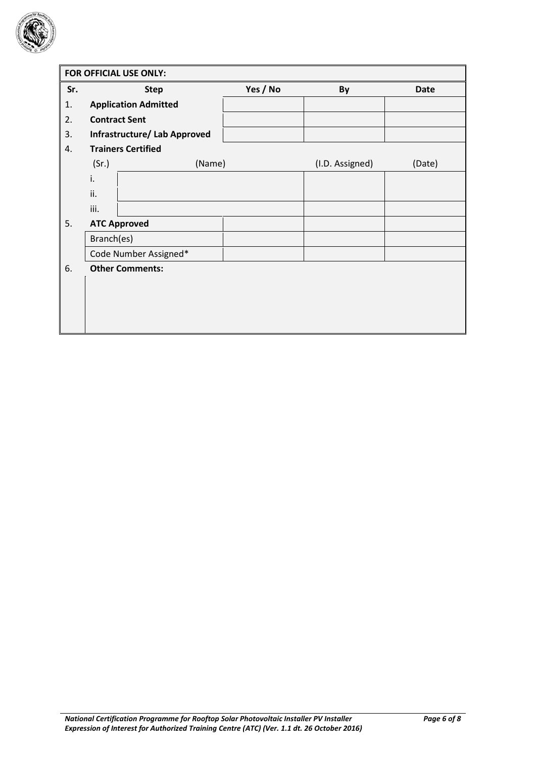

|     | FOR OFFICIAL USE ONLY: |                              |          |                 |        |  |
|-----|------------------------|------------------------------|----------|-----------------|--------|--|
| Sr. |                        | <b>Step</b>                  | Yes / No | By              | Date   |  |
| 1.  |                        | <b>Application Admitted</b>  |          |                 |        |  |
| 2.  |                        | <b>Contract Sent</b>         |          |                 |        |  |
| 3.  |                        | Infrastructure/ Lab Approved |          |                 |        |  |
| 4.  |                        | <b>Trainers Certified</b>    |          |                 |        |  |
|     | (Sr.)                  | (Name)                       |          | (I.D. Assigned) | (Date) |  |
|     | i.                     |                              |          |                 |        |  |
|     | ii.                    |                              |          |                 |        |  |
|     | iii.                   |                              |          |                 |        |  |
| 5.  |                        | <b>ATC Approved</b>          |          |                 |        |  |
|     | Branch(es)             |                              |          |                 |        |  |
|     |                        | Code Number Assigned*        |          |                 |        |  |
| 6.  |                        | <b>Other Comments:</b>       |          |                 |        |  |
|     |                        |                              |          |                 |        |  |
|     |                        |                              |          |                 |        |  |
|     |                        |                              |          |                 |        |  |
|     |                        |                              |          |                 |        |  |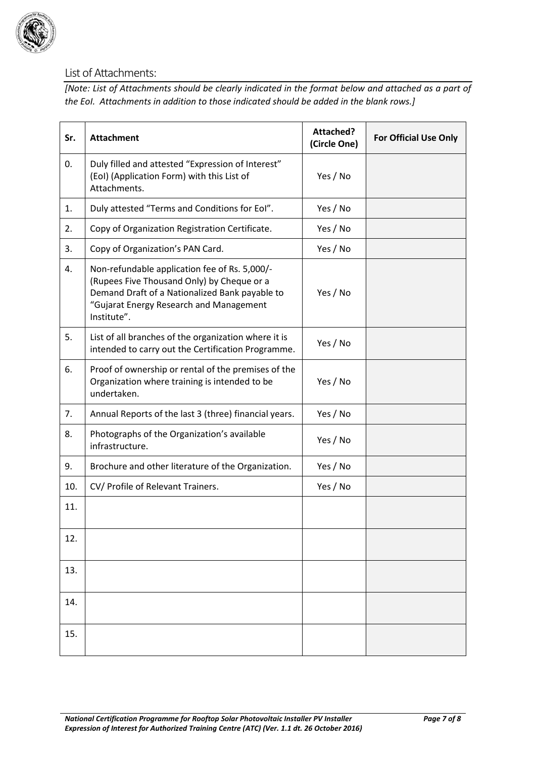

## List of Attachments:

*[Note: List of Attachments should be clearly indicated in the format below and attached as a part of the EoI. Attachments in addition to those indicated should be added in the blank rows.]*

| Sr. | <b>Attachment</b>                                                                                                                                                                                       | <b>Attached?</b><br>(Circle One) | <b>For Official Use Only</b> |
|-----|---------------------------------------------------------------------------------------------------------------------------------------------------------------------------------------------------------|----------------------------------|------------------------------|
| 0.  | Duly filled and attested "Expression of Interest"<br>(EoI) (Application Form) with this List of<br>Attachments.                                                                                         | Yes / No                         |                              |
| 1.  | Duly attested "Terms and Conditions for Eol".                                                                                                                                                           | Yes / No                         |                              |
| 2.  | Copy of Organization Registration Certificate.                                                                                                                                                          | Yes / No                         |                              |
| 3.  | Copy of Organization's PAN Card.                                                                                                                                                                        | Yes / No                         |                              |
| 4.  | Non-refundable application fee of Rs. 5,000/-<br>(Rupees Five Thousand Only) by Cheque or a<br>Demand Draft of a Nationalized Bank payable to<br>"Gujarat Energy Research and Management<br>Institute". | Yes / No                         |                              |
| 5.  | List of all branches of the organization where it is<br>intended to carry out the Certification Programme.                                                                                              | Yes / No                         |                              |
| 6.  | Proof of ownership or rental of the premises of the<br>Organization where training is intended to be<br>undertaken.                                                                                     | Yes / No                         |                              |
| 7.  | Annual Reports of the last 3 (three) financial years.                                                                                                                                                   | Yes / No                         |                              |
| 8.  | Photographs of the Organization's available<br>infrastructure.                                                                                                                                          | Yes / No                         |                              |
| 9.  | Brochure and other literature of the Organization.                                                                                                                                                      | Yes / No                         |                              |
| 10. | CV/ Profile of Relevant Trainers.                                                                                                                                                                       | Yes / No                         |                              |
| 11. |                                                                                                                                                                                                         |                                  |                              |
| 12. |                                                                                                                                                                                                         |                                  |                              |
| 13. |                                                                                                                                                                                                         |                                  |                              |
| 14. |                                                                                                                                                                                                         |                                  |                              |
| 15. |                                                                                                                                                                                                         |                                  |                              |